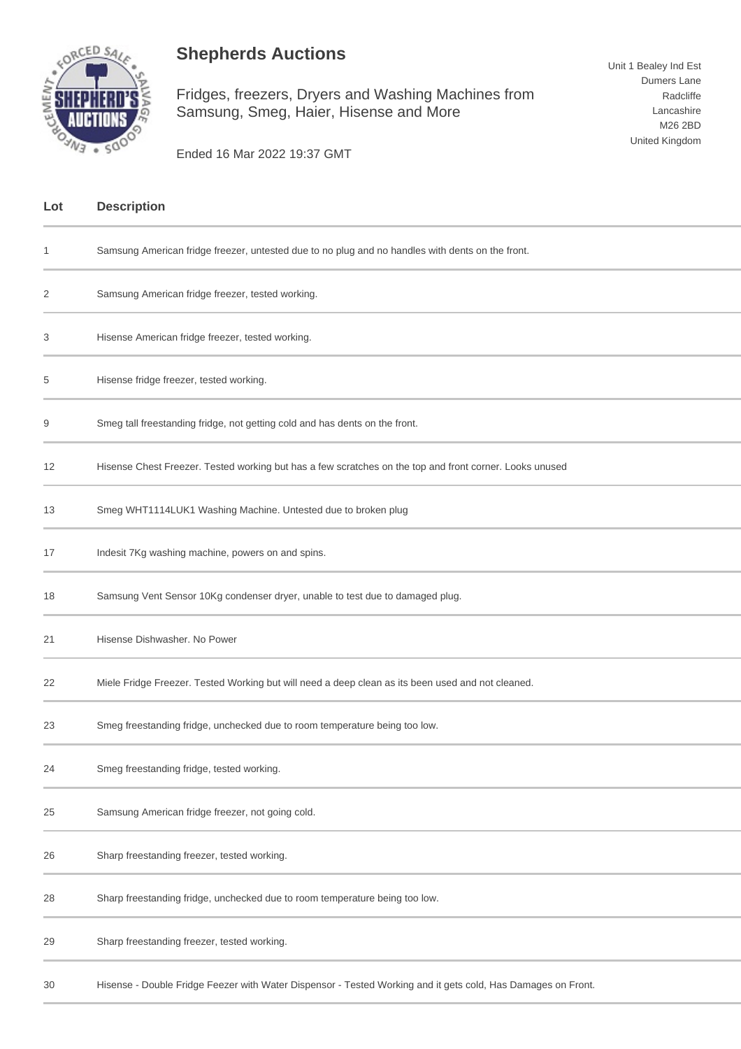## **Shepherds Auctions**



Fridges, freezers, Dryers and Washing Machines from Samsung, Smeg, Haier, Hisense and More

Ended 16 Mar 2022 19:37 GMT

| Lot | <b>Description</b>                                                                                           |
|-----|--------------------------------------------------------------------------------------------------------------|
| 1   | Samsung American fridge freezer, untested due to no plug and no handles with dents on the front.             |
| 2   | Samsung American fridge freezer, tested working.                                                             |
| 3   | Hisense American fridge freezer, tested working.                                                             |
| 5   | Hisense fridge freezer, tested working.                                                                      |
| 9   | Smeg tall freestanding fridge, not getting cold and has dents on the front.                                  |
| 12  | Hisense Chest Freezer. Tested working but has a few scratches on the top and front corner. Looks unused      |
| 13  | Smeg WHT1114LUK1 Washing Machine. Untested due to broken plug                                                |
| 17  | Indesit 7Kg washing machine, powers on and spins.                                                            |
| 18  | Samsung Vent Sensor 10Kg condenser dryer, unable to test due to damaged plug.                                |
| 21  | Hisense Dishwasher. No Power                                                                                 |
| 22  | Miele Fridge Freezer. Tested Working but will need a deep clean as its been used and not cleaned.            |
| 23  | Smeg freestanding fridge, unchecked due to room temperature being too low.                                   |
| 24  | Smeg freestanding fridge, tested working.                                                                    |
| 25  | Samsung American fridge freezer, not going cold.                                                             |
| 26  | Sharp freestanding freezer, tested working.                                                                  |
| 28  | Sharp freestanding fridge, unchecked due to room temperature being too low.                                  |
| 29  | Sharp freestanding freezer, tested working.                                                                  |
| 30  | Hisense - Double Fridge Feezer with Water Dispensor - Tested Working and it gets cold, Has Damages on Front. |